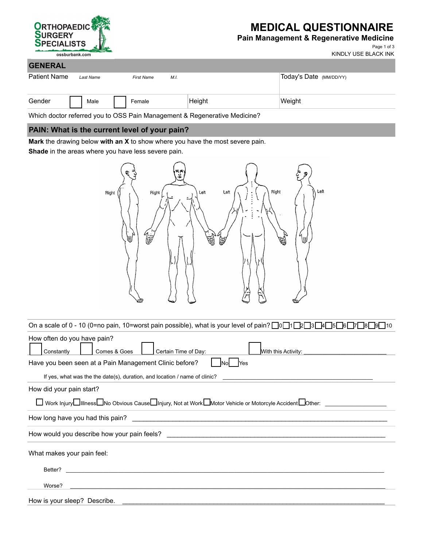

# **MEDICAL QUESTIONNAIRE**

### **Pain Management & Regenerative Medicine**

Page 1 of 3 KINDLY USE BLACK INK

| <b>GENERAL</b> |  |           |  |                           |        |                         |  |
|----------------|--|-----------|--|---------------------------|--------|-------------------------|--|
| Patient Name   |  | Last Name |  | M.I.<br><b>First Name</b> |        | Today's Date (MM/DD/YY) |  |
| Gender         |  | Male      |  | Female                    | Height | Weight                  |  |

Which doctor referred you to OSS Pain Management & Regenerative Medicine?

### **PAIN: What is the current level of your pain?**

**Mark** the drawing below **with an X** to show where you have the most severe pain.

**Shade** in the areas where you have less severe pain.



| On a scale of 0 - 10 (0=no pain, 10=worst pain possible), what is your level of pain? $\log 12$ $\log 2$ $\log 12$ $\log 12$ |  |  |  |  |  |
|------------------------------------------------------------------------------------------------------------------------------|--|--|--|--|--|
| How often do you have pain?<br>Certain Time of Day:<br>Comes & Goes<br>Constantly                                            |  |  |  |  |  |
| Have you been seen at a Pain Management Clinic before?<br>Yes<br>INol                                                        |  |  |  |  |  |
| If yes, what was the the date(s), duration, and location / name of clinic?                                                   |  |  |  |  |  |
| How did your pain start?                                                                                                     |  |  |  |  |  |
| Vork Injury□Illness□No Obvious Cause□Injury, Not at Work□Motor Vehicle or Motorcyle Accident□Other: △                        |  |  |  |  |  |
| How long have you had this pain?                                                                                             |  |  |  |  |  |
|                                                                                                                              |  |  |  |  |  |
| What makes your pain feel:                                                                                                   |  |  |  |  |  |
| Better?                                                                                                                      |  |  |  |  |  |
| Worse?                                                                                                                       |  |  |  |  |  |
| How is your sleep? Describe.                                                                                                 |  |  |  |  |  |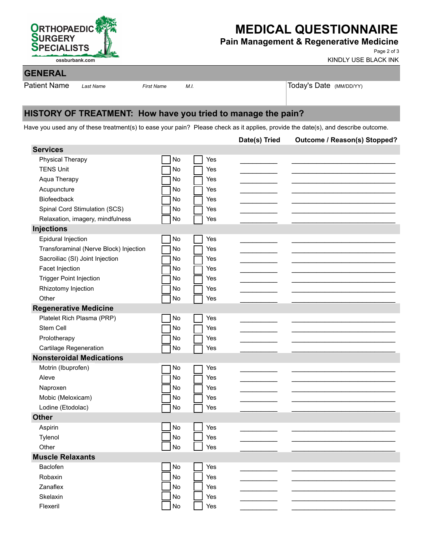

# **MEDICAL QUESTIONNAIRE**

## **Pain Management & Regenerative Medicine**

Page 2 of 3 KINDLY USE BLACK INK

## **GENERAL**

Patient Name Last Name First Name M.I. And M.I. Today's Date (MM/DD/YY)

# **HISTORY OF TREATMENT: How have you tried to manage the pain?**

Have you used any of these treatment(s) to ease your pain? Please check as it applies, provide the date(s), and describe outcome.

|                                        |                |            | Date(s) Tried | Outcome / Reason(s) Stopped? |
|----------------------------------------|----------------|------------|---------------|------------------------------|
| <b>Services</b>                        |                |            |               |                              |
| Physical Therapy                       | No             | Yes        |               |                              |
| <b>TENS Unit</b>                       | No             | Yes        |               |                              |
| Aqua Therapy                           | No             | Yes        |               |                              |
| Acupuncture                            | No             | Yes        |               |                              |
| Biofeedback                            | No             | Yes        |               |                              |
| Spinal Cord Stimulation (SCS)          | No             | Yes        |               |                              |
| Relaxation, imagery, mindfulness       | No             | Yes        |               |                              |
| <b>Injections</b>                      |                |            |               |                              |
| <b>Epidural Injection</b>              | No             | Yes        |               |                              |
| Transforaminal (Nerve Block) Injection | No             | Yes        |               |                              |
| Sacroiliac (SI) Joint Injection        | No             | Yes        |               |                              |
| Facet Injection                        | No             | Yes        |               |                              |
| <b>Trigger Point Injection</b>         | No             | Yes        |               |                              |
| Rhizotomy Injection                    | No             | Yes        |               |                              |
| Other                                  | No             | Yes        |               |                              |
| <b>Regenerative Medicine</b>           |                |            |               |                              |
| Platelet Rich Plasma (PRP)             | No             | Yes        |               |                              |
| Stem Cell                              | No             | Yes        |               |                              |
| Prolotherapy                           | No             | Yes        |               |                              |
| <b>Cartilage Regeneration</b>          | No             | Yes        |               |                              |
| <b>Nonsteroidal Medications</b>        |                |            |               |                              |
| Motrin (Ibuprofen)                     | No             | Yes        |               |                              |
| Aleve                                  | No             | Yes        |               |                              |
| Naproxen                               | No             | Yes        |               |                              |
| Mobic (Meloxicam)                      | No             | Yes        |               |                              |
| Lodine (Etodolac)                      | No             | Yes        |               |                              |
| <b>Other</b>                           |                |            |               |                              |
| Aspirin                                | No             | Yes        |               |                              |
| Tylenol                                | No             | Yes        |               |                              |
| Other                                  | $\bigsqcup$ No | $\Box$ Yes |               |                              |
| <b>Muscle Relaxants</b>                |                |            |               |                              |
| Baclofen                               | $\mathsf{No}$  | Yes        |               |                              |
| Robaxin                                | No             | Yes        |               |                              |
| Zanaflex                               | No             | Yes        |               |                              |
| Skelaxin                               | No             | Yes        |               |                              |
| Flexeril                               | No             | Yes        |               |                              |